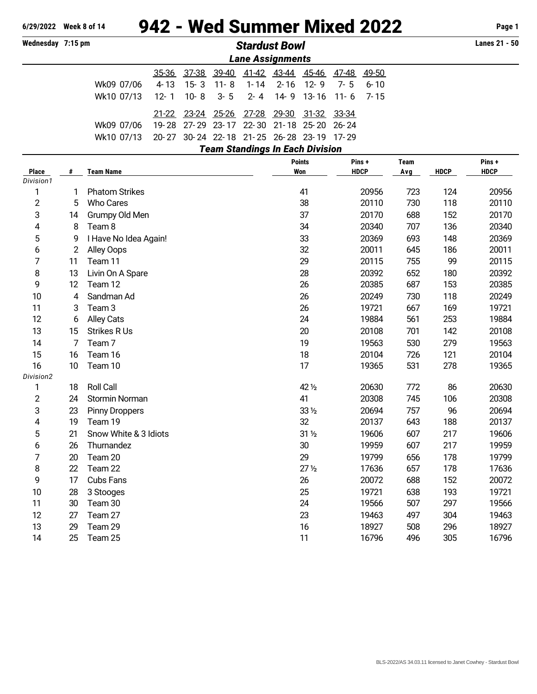# **6/29/2022 Week 8 of 14** 942 - Wed Summer Mixed 2022 **Page 1**

**Wednesday 7:15 pm** *Stardust Bowl* **Lanes 21 - 50**

|                                                      | <b>Lane Assignments</b>                   |  |  |                                                 |  |  |  |  |  |  |  |  |  |
|------------------------------------------------------|-------------------------------------------|--|--|-------------------------------------------------|--|--|--|--|--|--|--|--|--|
|                                                      |                                           |  |  | 35-36 37-38 39-40 41-42 43-44 45-46 47-48 49-50 |  |  |  |  |  |  |  |  |  |
| Wk09 07/06 4-13 15-3 11-8 1-14 2-16 12-9 7-5 6-10    |                                           |  |  |                                                 |  |  |  |  |  |  |  |  |  |
| Wk10 07/13 12-1 10-8 3-5 2-4 14-9 13-16 11-6 7-15    |                                           |  |  |                                                 |  |  |  |  |  |  |  |  |  |
|                                                      |                                           |  |  | 21-22 23-24 25-26 27-28 29-30 31-32 33-34       |  |  |  |  |  |  |  |  |  |
| Wk09 07/06 19-28 27-29 23-17 22-30 21-18 25-20 26-24 |                                           |  |  |                                                 |  |  |  |  |  |  |  |  |  |
| Wk10 07/13                                           | 20-27 30-24 22-18 21-25 26-28 23-19 17-29 |  |  |                                                 |  |  |  |  |  |  |  |  |  |
|                                                      |                                           |  |  | <b>Team Standings In Each Division</b>          |  |  |  |  |  |  |  |  |  |

| <b>Place</b>   | #              | <b>Team Name</b>      | <b>Points</b><br><b>Won</b> | Pins +<br><b>HDCP</b> | <b>Team</b><br>Avg | <b>HDCP</b> | Pins+<br><b>HDCP</b> |
|----------------|----------------|-----------------------|-----------------------------|-----------------------|--------------------|-------------|----------------------|
| Division1      |                |                       |                             |                       |                    |             |                      |
| 1              | 1              | <b>Phatom Strikes</b> | 41                          | 20956                 | 723                | 124         | 20956                |
| $\overline{2}$ | 5              | <b>Who Cares</b>      | 38                          | 20110                 | 730                | 118         | 20110                |
| 3              | 14             | Grumpy Old Men        | 37                          | 20170                 | 688                | 152         | 20170                |
| 4              | 8              | Team 8                | 34                          | 20340                 | 707                | 136         | 20340                |
| 5              | 9              | I Have No Idea Again! | 33                          | 20369                 | 693                | 148         | 20369                |
| 6              | $\overline{2}$ | Alley Oops            | 32                          | 20011                 | 645                | 186         | 20011                |
| 7              | 11             | Team 11               | 29                          | 20115                 | 755                | 99          | 20115                |
| 8              | 13             | Livin On A Spare      | 28                          | 20392                 | 652                | 180         | 20392                |
| 9              | 12             | Team 12               | 26                          | 20385                 | 687                | 153         | 20385                |
| 10             | 4              | Sandman Ad            | 26                          | 20249                 | 730                | 118         | 20249                |
| 11             | 3              | Team <sub>3</sub>     | 26                          | 19721                 | 667                | 169         | 19721                |
| 12             | 6              | <b>Alley Cats</b>     | 24                          | 19884                 | 561                | 253         | 19884                |
| 13             | 15             | <b>Strikes R Us</b>   | 20                          | 20108                 | 701                | 142         | 20108                |
| 14             | 7              | Team <sub>7</sub>     | 19                          | 19563                 | 530                | 279         | 19563                |
| 15             | 16             | Team 16               | 18                          | 20104                 | 726                | 121         | 20104                |
| 16             | 10             | Team 10               | 17                          | 19365                 | 531                | 278         | 19365                |
| Division2      |                |                       |                             |                       |                    |             |                      |
| 1              | 18             | Roll Call             | 42 1/2                      | 20630                 | 772                | 86          | 20630                |
| 2              | 24             | Stormin Norman        | 41                          | 20308                 | 745                | 106         | 20308                |
| 3              | 23             | <b>Pinny Droppers</b> | $33\,\frac{1}{2}$           | 20694                 | 757                | 96          | 20694                |
| 4              | 19             | Team 19               | 32                          | 20137                 | 643                | 188         | 20137                |
| 5              | 21             | Snow White & 3 Idiots | $31\frac{1}{2}$             | 19606                 | 607                | 217         | 19606                |
| 6              | 26             | Thurnandez            | 30                          | 19959                 | 607                | 217         | 19959                |
| 7              | 20             | Team 20               | 29                          | 19799                 | 656                | 178         | 19799                |
| 8              | 22             | Team 22               | 27 <sub>2</sub>             | 17636                 | 657                | 178         | 17636                |
| 9              | 17             | <b>Cubs Fans</b>      | 26                          | 20072                 | 688                | 152         | 20072                |
| 10             | 28             | 3 Stooges             | 25                          | 19721                 | 638                | 193         | 19721                |
| 11             | 30             | Team 30               | 24                          | 19566                 | 507                | 297         | 19566                |
| 12             | 27             | Team 27               | 23                          | 19463                 | 497                | 304         | 19463                |
| 13             | 29             | Team 29               | 16                          | 18927                 | 508                | 296         | 18927                |
| 14             | 25             | Team 25               | 11                          | 16796                 | 496                | 305         | 16796                |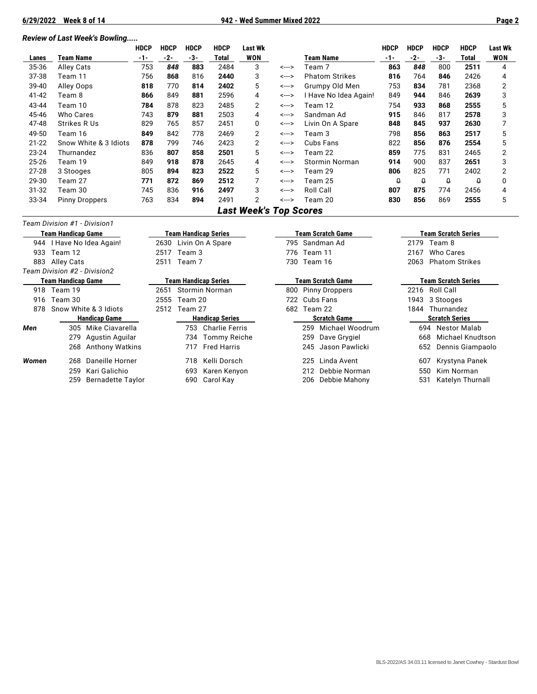## *Review of Last Week's Bowling.....*

|           |                       | <b>HDCP</b> | <b>HDCP</b> | <b>HDCP</b> | <b>HDCP</b> | <b>Last Wk</b> |       |                       | <b>HDCP</b> | <b>HDCP</b> | <b>HDCP</b> | <b>HDCP</b> | <b>Last Wk</b> |
|-----------|-----------------------|-------------|-------------|-------------|-------------|----------------|-------|-----------------------|-------------|-------------|-------------|-------------|----------------|
| Lanes     | Team Name             | $-1-$       | -2-         | -3-         | Total       | <b>WON</b>     |       | Team Name             | $-1-$       | -2-         | -3-         | Total       | <b>WON</b>     |
| 35-36     | Alley Cats            | 753         | 848         | 883         | 2484        | 3              | <---> | Team 7                | 863         | 848         | 800         | 2511        | 4              |
| 37-38     | Team 11               | 756         | 868         | 816         | 2440        | 3              | <---> | <b>Phatom Strikes</b> | 816         | 764         | 846         | 2426        | 4              |
| 39-40     | Alley Oops            | 818         | 770         | 814         | 2402        | 5              | <---> | Grumpy Old Men        | 753         | 834         | 781         | 2368        | 2              |
| 41-42     | Team 8                | 866         | 849         | 881         | 2596        | 4              | <---> | I Have No Idea Again! | 849         | 944         | 846         | 2639        | 3              |
| 43-44     | Team 10               | 784         | 878         | 823         | 2485        | 2              | <---> | Team 12               | 754         | 933         | 868         | 2555        | 5              |
| 45-46     | Who Cares             | 743         | 879         | 881         | 2503        | 4              | <---> | Sandman Ad            | 915         | 846         | 817         | 2578        | 3              |
| 47-48     | Strikes R Us          | 829         | 765         | 857         | 2451        | 0              | <---> | Livin On A Spare      | 848         | 845         | 937         | 2630        |                |
| 49-50     | Team 16               | 849         | 842         | 778         | 2469        | 2              | <---> | Team 3                | 798         | 856         | 863         | 2517        | 5              |
| $21 - 22$ | Snow White & 3 Idiots | 878         | 799         | 746         | 2423        | 2              | <---> | Cubs Fans             | 822         | 856         | 876         | 2554        | 5              |
| $23 - 24$ | Thurnandez            | 836         | 807         | 858         | 2501        | 5              | <---> | Team 22               | 859         | 775         | 831         | 2465        | 2              |
| 25-26     | Team 19               | 849         | 918         | 878         | 2645        | 4              | <---> | Stormin Norman        | 914         | 900         | 837         | 2651        | 3              |
| $27 - 28$ | 3 Stooges             | 805         | 894         | 823         | 2522        | 5              | <---> | Team 29               | 806         | 825         | 771         | 2402        | 2              |
| 29-30     | Team 27               | 771         | 872         | 869         | 2512        |                | <---> | Team 25               | Ω           | $\theta$    | $\theta$    | Ω           | <sup>0</sup>   |
| $31 - 32$ | Team 30               | 745         | 836         | 916         | 2497        | 3              | <---> | Roll Call             | 807         | 875         | 774         | 2456        | 4              |
| 33-34     | <b>Pinny Droppers</b> | 763         | 834         | 894         | 2491        | 2              | <---> | Team 20               | 830         | 856         | 869         | 2555        | 5              |

## *Last Week's Top Scores*

## *Team Division #1 - Division1*

|       | Team Handicap Game              | Team Handicap Series |                        |                       |                     | Team Scratch Game      | Team Scratch Series |                         |  |  |
|-------|---------------------------------|----------------------|------------------------|-----------------------|---------------------|------------------------|---------------------|-------------------------|--|--|
|       | 944   Have No Idea Again!       |                      |                        | 2630 Livin On A Spare |                     | 795 Sandman Ad         |                     | 2179 Team 8             |  |  |
| 933   | Team 12                         | 2517                 | Team 3                 |                       |                     | 776 Team 11            | 2167                | Who Cares               |  |  |
| 883   | Alley Cats                      |                      | 2511 Team 7            |                       |                     | 730 Team 16            | 2063                | <b>Phatom Strikes</b>   |  |  |
|       | Team Division #2 - Division2    |                      |                        |                       |                     |                        |                     |                         |  |  |
|       | Team Handicap Game              | Team Handicap Series |                        |                       | Team Scratch Game   | Team Scratch Series    |                     |                         |  |  |
|       | 918 Team 19                     | 2651                 |                        | Stormin Norman        | 800                 | <b>Pinny Droppers</b>  |                     | 2216 Roll Call          |  |  |
|       | 916 Team 30                     | 2555                 | Team 20                |                       | 722.                | Cubs Fans              | 1943                | 3 Stooges               |  |  |
| 878   | Snow White & 3 Idiots           | 2512                 | Team 27                |                       |                     | 682<br>Team 22         |                     | Thurnandez              |  |  |
|       | <b>Handicap Game</b>            |                      | <b>Handicap Series</b> |                       | <b>Scratch Game</b> |                        |                     | <b>Scratch Series</b>   |  |  |
| Men   | Mike Ciavarella<br>305          |                      |                        | 753 Charlie Ferris    |                     | Michael Woodrum<br>259 |                     | 694 Nestor Malab        |  |  |
|       | 279<br>Agustin Aguilar          |                      | 734                    | Tommy Reiche          |                     | Dave Grygiel<br>259    |                     | Michael Knudtson<br>668 |  |  |
|       | Anthony Watkins<br>268          |                      |                        | 717 Fred Harris       |                     | 245 Jason Pawlicki     |                     | 652 Dennis Giampaolo    |  |  |
| Women | Daneille Horner<br>268          |                      | 718                    | Kelli Dorsch          |                     | Linda Avent<br>225     |                     | Krystyna Panek<br>607   |  |  |
|       | Kari Galichio<br>259            |                      | 693                    | Karen Kenyon          |                     | Debbie Norman<br>212   |                     | Kim Norman<br>550       |  |  |
|       | <b>Bernadette Taylor</b><br>259 |                      | 690                    | Carol Kay             |                     | Debbie Mahony<br>206   | 531                 | Katelyn Thurnall        |  |  |
|       |                                 |                      |                        |                       |                     |                        |                     |                         |  |  |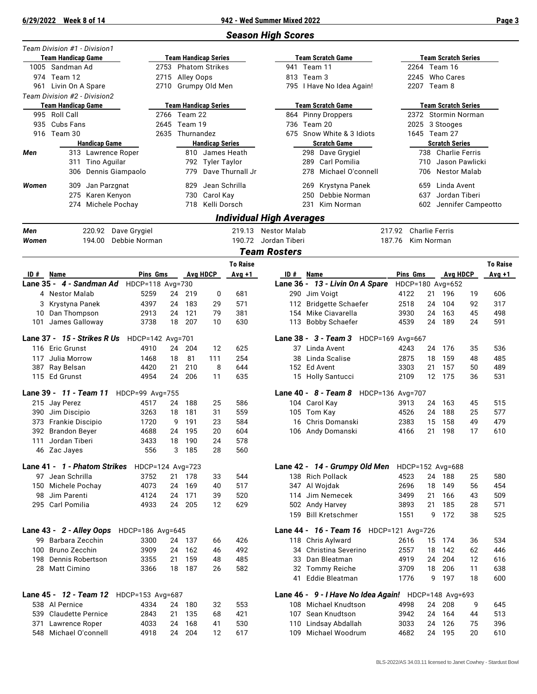÷

## *Season High Scores*

|       | Team Division #1 - Division1<br>Team Handicap Game |                  |          |                  | <b>Team Handicap Series</b> |                  |                          | <b>Team Scratch Game</b>            |                       | <b>Team Scratch Series</b> |    |                 |
|-------|----------------------------------------------------|------------------|----------|------------------|-----------------------------|------------------|--------------------------|-------------------------------------|-----------------------|----------------------------|----|-----------------|
|       | 1005 Sandman Ad                                    |                  |          |                  | 2753 Phatom Strikes         |                  |                          | 941 Team 11                         |                       | 2264 Team 16               |    |                 |
|       | 974 Team 12                                        |                  |          | 2715 Alley Oops  |                             |                  |                          | 813 Team 3                          |                       | 2245 Who Cares             |    |                 |
|       | 961 Livin On A Spare                               |                  |          |                  | 2710 Grumpy Old Men         |                  |                          | 795   Have No Idea Again!           |                       | 2207 Team 8                |    |                 |
|       | Team Division #2 - Division2                       |                  |          |                  |                             |                  |                          |                                     |                       |                            |    |                 |
|       | <b>Team Handicap Game</b>                          |                  |          |                  | <b>Team Handicap Series</b> |                  |                          | <b>Team Scratch Game</b>            |                       | <b>Team Scratch Series</b> |    |                 |
|       | 995 Roll Call                                      |                  |          | 2766 Team 22     |                             |                  |                          | 864 Pinny Droppers                  |                       | 2372 Stormin Norman        |    |                 |
| 935   | Cubs Fans                                          |                  |          | 2645 Team 19     |                             |                  |                          | 736 Team 20                         |                       | 2025 3 Stooges             |    |                 |
|       | 916 Team 30                                        |                  |          | 2635 Thurnandez  |                             |                  |                          | 675 Snow White & 3 Idiots           |                       | 1645 Team 27               |    |                 |
|       | <b>Handicap Game</b>                               |                  |          |                  | <b>Handicap Series</b>      |                  |                          | <b>Scratch Game</b>                 |                       | <b>Scratch Series</b>      |    |                 |
| Men   | 313 Lawrence Roper                                 |                  |          |                  | 810 James Heath             |                  |                          | 298 Dave Grygiel                    |                       | 738 Charlie Ferris         |    |                 |
|       | 311 Tino Aguilar                                   |                  |          |                  | 792 Tyler Taylor            |                  |                          | 289 Carl Pomilia                    |                       | 710 Jason Pawlicki         |    |                 |
|       | Dennis Giampaolo<br>306                            |                  |          | 779              |                             | Dave Thurnall Jr |                          | 278 Michael O'connell               | 706                   | Nestor Malab               |    |                 |
| Women | 309<br>Jan Parzgnat                                |                  |          | 829              | Jean Schrilla               |                  |                          | 269 Krystyna Panek                  | 659                   | Linda Avent                |    |                 |
|       | 275 Karen Kenyon                                   |                  |          | 730              | Carol Kay                   |                  |                          | 250 Debbie Norman                   | 637                   | Jordan Tiberi              |    |                 |
|       | Michele Pochay<br>274                              |                  |          |                  | 718 Kelli Dorsch            |                  |                          | 231 Kim Norman                      |                       | 602 Jennifer Campeotto     |    |                 |
|       |                                                    |                  |          |                  |                             |                  | Individual High Averages |                                     |                       |                            |    |                 |
| Men   | 220.92                                             | Dave Grygiel     |          |                  |                             |                  | 219.13 Nestor Malab      |                                     | 217.92 Charlie Ferris |                            |    |                 |
| Women | 194.00                                             | Debbie Norman    |          |                  |                             | 190.72           | Jordan Tiberi            |                                     | 187.76                | Kim Norman                 |    |                 |
|       |                                                    |                  |          |                  |                             |                  | <b>Team Rosters</b>      |                                     |                       |                            |    |                 |
|       |                                                    |                  |          |                  |                             | <b>To Raise</b>  |                          |                                     |                       |                            |    | <b>To Raise</b> |
| ID #  | Name                                               |                  | Pins Gms |                  | <b>Avg HDCP</b>             | Avg +1           | ID#                      | Name                                | Pins Gms              | <b>Avg HDCP</b>            |    | $Avg +1$        |
|       | Lane 35 - 4 - Sandman Ad                           | HDCP=118 Avg=730 |          |                  |                             |                  |                          | Lane 36 - 13 - Livin On A Spare     | HDCP=180 Avg=652      |                            |    |                 |
|       | 4 Nestor Malab                                     | 5259             |          | 24<br>219        | 0                           | 681              |                          | 290 Jim Voigt                       | 4122                  | 21<br>196                  | 19 | 606             |
| 3     | Krystyna Panek                                     | 4397             | 24       | 183              | 29                          | 571              |                          | 112 Bridgette Schaefer              | 2518                  | 104<br>24                  | 92 | 317             |
|       | 10 Dan Thompson                                    | 2913             | 24       | 121              | 79                          | 381              |                          | 154 Mike Ciavarella                 | 3930                  | 24<br>163                  | 45 | 498             |
| 101   | James Galloway                                     | 3738             | 18       | 207              | 10                          | 630              |                          | 113 Bobby Schaefer                  | 4539                  | 24<br>189                  | 24 | 591             |
|       | Lane 37 - 15 - Strikes R Us                        | HDCP=142 Avg=701 |          |                  |                             |                  |                          | Lane 38 - 3 - Team 3                | HDCP=169 Avg=667      |                            |    |                 |
|       | 116 Eric Grunst                                    | 4910             | 24       | 204              | 12                          | 625              |                          | 37 Linda Avent                      | 4243                  | 176<br>24                  | 35 | 536             |
| 117   | Julia Morrow                                       | 1468             | 18       | 81               | 111                         | 254              |                          | 38 Linda Scalise                    | 2875                  | 18<br>159                  | 48 | 485             |
|       | 387 Ray Belsan                                     | 4420             | 21       | 210              | 8                           | 644              |                          | 152 Ed Avent                        | 3303                  | 21<br>157                  | 50 | 489             |
|       | 115 Ed Grunst                                      | 4954             | 24       | 206              | 11                          | 635              |                          | 15 Holly Santucci                   | 2109                  | 12<br>175                  | 36 | 531             |
|       | Lane 39 - 11 - Team 11                             | HDCP=99 Avg=755  |          |                  |                             |                  |                          | Lane 40 - 8 - Team 8                | HDCP=136 Avg=707      |                            |    |                 |
|       | 215 Jay Perez                                      | 4517             | 24       | 188              | 25                          | 586              |                          | 104 Carol Kay                       | 3913                  | 24<br>163                  | 45 | 515             |
|       | 390 Jim Discipio                                   | 3263             | 18       | 181              | 31                          | 559              |                          | 105 Tom Kay                         | 4526                  | 188<br>24                  | 25 | 577             |
|       | 373 Frankie Discipio                               | 1720             |          | 191<br>9         | 23                          | 584              |                          | 16 Chris Domanski                   | 2383                  | 158<br>15                  | 49 | 479             |
|       | 392 Brandon Beyer                                  | 4688             | 24       | 195              | 20                          | 604              |                          | 106 Andy Domanski                   | 4166                  | 21<br>198                  | 17 | 610             |
| 111   | Jordan Tiberi                                      | 3433             | 18       | 190              | 24                          | 578              |                          |                                     |                       |                            |    |                 |
|       | 46 Zac Jayes                                       | 556              |          | 3<br>185         | 28                          | 560              |                          |                                     |                       |                            |    |                 |
|       |                                                    |                  |          |                  |                             |                  |                          |                                     |                       |                            |    |                 |
|       | Lane 41 - 1 - Phatom Strikes                       |                  |          | HDCP=124 Avg=723 |                             |                  |                          | Lane 42 - 14 - Grumpy Old Men       | HDCP=152 Avg=688      |                            |    |                 |
|       | 97 Jean Schrilla                                   | 3752             |          | 21 178           | 33                          | 544              |                          | 138 Rich Pollack                    | 4523                  | 24 188                     | 25 | 580             |
|       | 150 Michele Pochay                                 | 4073             | 24       | 169              | 40                          | 517              |                          | 347 Al Wojdak                       | 2696                  | 18<br>149                  | 56 | 454             |
|       | 98 Jim Parenti                                     | 4124             | 24       | 171              | 39                          | 520              |                          | 114 Jim Nemecek                     | 3499                  | 21<br>166                  | 43 | 509             |
|       | 295 Carl Pomilia                                   | 4933             | 24       | 205              | 12                          | 629              |                          | 502 Andy Harvey                     | 3893                  | 21<br>185                  | 28 | 571             |
|       |                                                    |                  |          |                  |                             |                  |                          | 159 Bill Kretschmer                 | 1551                  | 9<br>172                   | 38 | 525             |
|       | Lane 43 - 2 - Alley Oops                           | HDCP=186 Avg=645 |          |                  |                             |                  |                          | Lane 44 - 16 - Team 16              | HDCP=121 Avg=726      |                            |    |                 |
|       | 99 Barbara Zecchin                                 | 3300             |          | 24 137           | 66                          | 426              |                          | 118 Chris Aylward                   | 2616                  | 15<br>174                  | 36 | 534             |
|       |                                                    |                  | 24       | 162              | 46                          | 492              |                          | 34 Christina Severino               | 2557                  | 18<br>142                  | 62 | 446             |
| 100   | <b>Bruno Zecchin</b>                               | 3909             |          |                  | 48                          | 485              |                          | 33 Dan Bleatman                     | 4919                  | 24<br>204                  | 12 | 616             |
| 198   | Dennis Robertson                                   | 3355             | 21       | 159              |                             |                  |                          |                                     |                       |                            |    |                 |
|       | 28 Matt Cimino                                     | 3366             | 18       | 187              | 26                          | 582              |                          | 32 Tommy Reiche                     | 3709                  | 18<br>206                  | 11 | 638             |
|       |                                                    |                  |          |                  |                             |                  |                          | 41 Eddie Bleatman                   | 1776                  | 9<br>197                   | 18 | 600             |
|       | Lane 45 - 12 - Team 12 HDCP=153 Avg=687            |                  |          |                  |                             |                  |                          | Lane 46 - 9 - I Have No Idea Again! |                       | HDCP=148 Avg=693           |    |                 |
|       | 538 Al Pernice                                     | 4334             |          | 180<br>24        | 32                          | 553              |                          | 108 Michael Knudtson                | 4998                  | 24<br>208                  | 9  | 645             |
|       | 539 Claudette Pernice                              | 2843             | 21       | 135              | 68                          | 421              |                          | 107 Sean Knudtson                   | 3942                  | 24<br>164                  | 44 | 513             |
| 371   | Lawrence Roper<br>548 Michael O'connell            | 4033             | 24       | 168              | 41                          | 530              | 110                      | Lindsay Abdallah                    | 3033                  | 24<br>126                  | 75 | 396             |